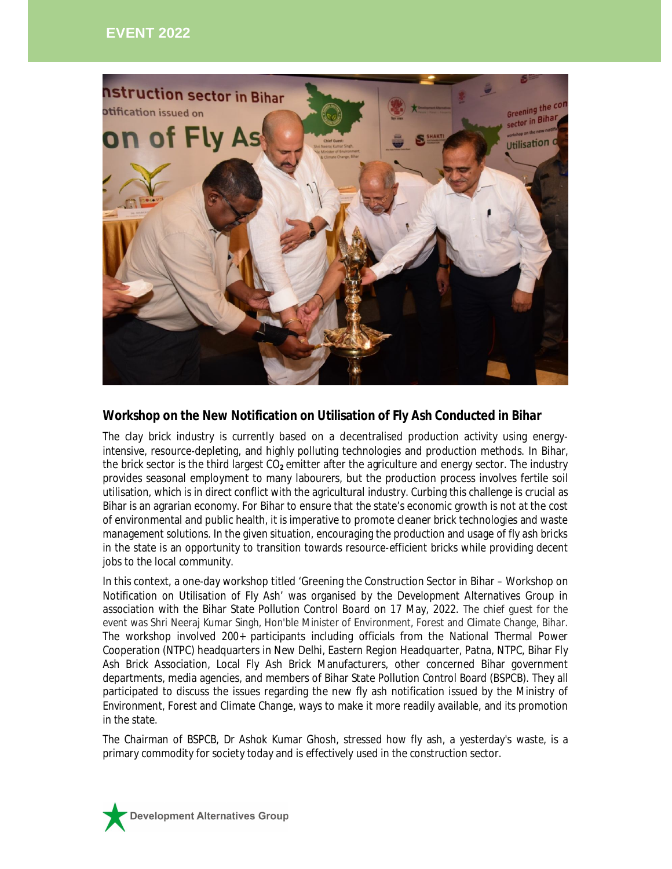## **EVENT 2022**



## **Workshop on the New Notification on Utilisation of Fly Ash Conducted in Bihar**

The clay brick industry is currently based on a decentralised production activity using energyintensive, resource-depleting, and highly polluting technologies and production methods. In Bihar, the brick sector is the third largest CO**2** emitter after the agriculture and energy sector. The industry provides seasonal employment to many labourers, but the production process involves fertile soil utilisation, which is in direct conflict with the agricultural industry. Curbing this challenge is crucial as Bihar is an agrarian economy. For Bihar to ensure that the state's economic growth is not at the cost of environmental and public health, it is imperative to promote cleaner brick technologies and waste management solutions. In the given situation, encouraging the production and usage of fly ash bricks in the state is an opportunity to transition towards resource-efficient bricks while providing decent jobs to the local community.

In this context, a one-day workshop titled 'Greening the Construction Sector in Bihar – Workshop on Notification on Utilisation of Fly Ash' was organised by the Development Alternatives Group in association with the Bihar State Pollution Control Board on 17 May, 2022. The chief guest for the event was Shri Neeraj Kumar Singh, Hon'ble Minister of Environment, Forest and Climate Change, Bihar. The workshop involved 200+ participants including officials from the National Thermal Power Cooperation (NTPC) headquarters in New Delhi, Eastern Region Headquarter, Patna, NTPC, Bihar Fly Ash Brick Association, Local Fly Ash Brick Manufacturers, other concerned Bihar government departments, media agencies, and members of Bihar State Pollution Control Board (BSPCB). They all participated to discuss the issues regarding the new fly ash notification issued by the Ministry of Environment, Forest and Climate Change, ways to make it more readily available, and its promotion in the state.

The Chairman of BSPCB, Dr Ashok Kumar Ghosh, stressed how fly ash, a yesterday's waste, is a primary commodity for society today and is effectively used in the construction sector.

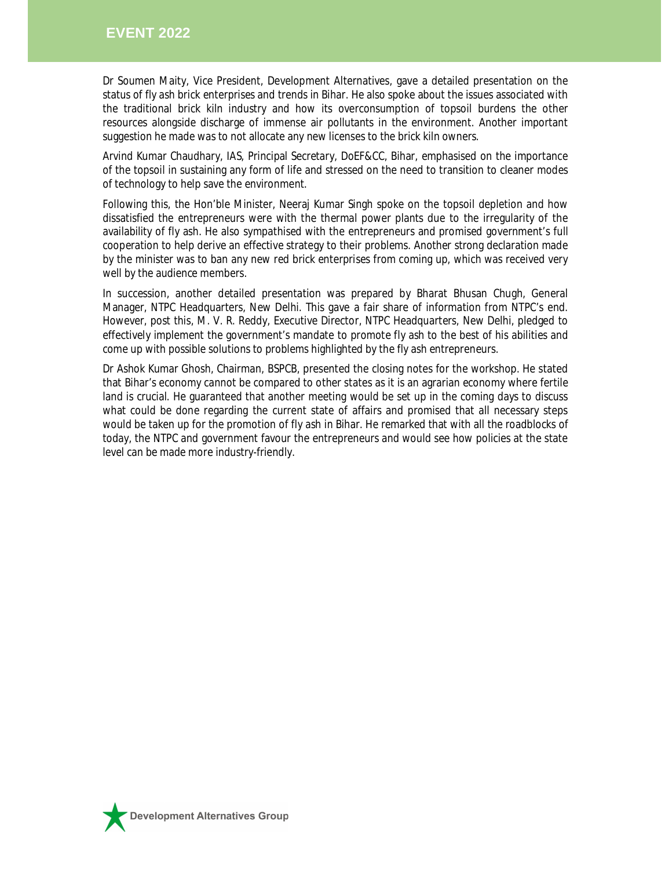Dr Soumen Maity, Vice President, Development Alternatives, gave a detailed presentation on the status of fly ash brick enterprises and trends in Bihar. He also spoke about the issues associated with the traditional brick kiln industry and how its overconsumption of topsoil burdens the other resources alongside discharge of immense air pollutants in the environment. Another important suggestion he made was to not allocate any new licenses to the brick kiln owners.

Arvind Kumar Chaudhary, IAS, Principal Secretary, DoEF&CC, Bihar, emphasised on the importance of the topsoil in sustaining any form of life and stressed on the need to transition to cleaner modes of technology to help save the environment.

Following this, the Hon'ble Minister, Neeraj Kumar Singh spoke on the topsoil depletion and how dissatisfied the entrepreneurs were with the thermal power plants due to the irregularity of the availability of fly ash. He also sympathised with the entrepreneurs and promised government's full cooperation to help derive an effective strategy to their problems. Another strong declaration made by the minister was to ban any new red brick enterprises from coming up, which was received very well by the audience members.

In succession, another detailed presentation was prepared by Bharat Bhusan Chugh, General Manager, NTPC Headquarters, New Delhi. This gave a fair share of information from NTPC's end. However, post this, M. V. R. Reddy, Executive Director, NTPC Headquarters, New Delhi, pledged to effectively implement the government's mandate to promote fly ash to the best of his abilities and come up with possible solutions to problems highlighted by the fly ash entrepreneurs.

Dr Ashok Kumar Ghosh, Chairman, BSPCB, presented the closing notes for the workshop. He stated that Bihar's economy cannot be compared to other states as it is an agrarian economy where fertile land is crucial. He guaranteed that another meeting would be set up in the coming days to discuss what could be done regarding the current state of affairs and promised that all necessary steps would be taken up for the promotion of fly ash in Bihar. He remarked that with all the roadblocks of today, the NTPC and government favour the entrepreneurs and would see how policies at the state level can be made more industry-friendly.